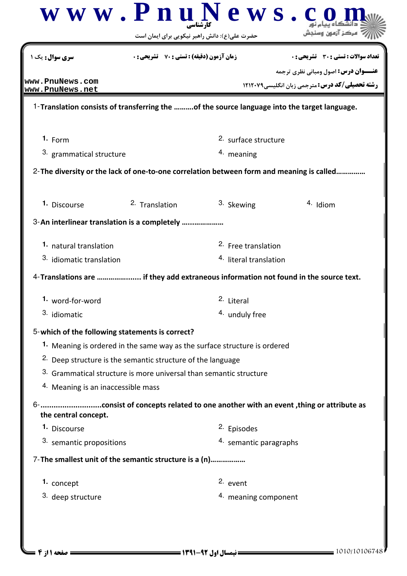|                                                 |                                                                                             | حضرت علی(ع): دانش راهبر نیکویی برای ایمان است |                                                                                          |  |
|-------------------------------------------------|---------------------------------------------------------------------------------------------|-----------------------------------------------|------------------------------------------------------------------------------------------|--|
| <b>سری سوال :</b> یک ۱                          | <b>زمان آزمون (دقیقه) : تستی : 70 ٪ تشریحی : 0</b>                                          |                                               | تعداد سوالات : تستي : 30 ٪ تشريحي : 0<br><b>عنـــوان درس:</b> اصول ومبانی نظری ترجمه     |  |
| www.PnuNews.com<br>www.PnuNews.net              |                                                                                             |                                               | <b>رشته تحصیلی/کد درس: مترجمی زبان انگلیسی1۲۱۲۰۷۹</b>                                    |  |
|                                                 | 1-Translation consists of transferring the of the source language into the target language. |                                               |                                                                                          |  |
| $1. F_{\text{Orm}}$                             |                                                                                             | 2. surface structure                          |                                                                                          |  |
| <sup>3.</sup> grammatical structure             |                                                                                             | <sup>4.</sup> meaning                         |                                                                                          |  |
|                                                 |                                                                                             |                                               | 2-The diversity or the lack of one-to-one correlation between form and meaning is called |  |
| 1. Discourse                                    | 2. Translation                                                                              | 3. Skewing                                    | 4. Idiom                                                                                 |  |
|                                                 | 3-An interlinear translation is a completely                                                |                                               |                                                                                          |  |
| 1. natural translation                          |                                                                                             | <sup>2.</sup> Free translation                |                                                                                          |  |
| 3. idiomatic translation                        |                                                                                             | <sup>4.</sup> literal translation             |                                                                                          |  |
|                                                 | 4-Translations are  if they add extraneous information not found in the source text.        |                                               |                                                                                          |  |
| 1. word-for-word                                |                                                                                             | 2. Literal                                    |                                                                                          |  |
| 3. idiomatic                                    |                                                                                             | 4. unduly free                                |                                                                                          |  |
| 5-which of the following statements is correct? |                                                                                             |                                               |                                                                                          |  |
|                                                 | 1. Meaning is ordered in the same way as the surface structure is ordered                   |                                               |                                                                                          |  |
|                                                 | <sup>2.</sup> Deep structure is the semantic structure of the language                      |                                               |                                                                                          |  |
|                                                 | 3. Grammatical structure is more universal than semantic structure                          |                                               |                                                                                          |  |
| 4. Meaning is an inaccessible mass              |                                                                                             |                                               |                                                                                          |  |
| the central concept.                            |                                                                                             |                                               |                                                                                          |  |
| 1. Discourse                                    |                                                                                             | <sup>2.</sup> Episodes                        |                                                                                          |  |
| 3. semantic propositions                        |                                                                                             | 4. semantic paragraphs                        |                                                                                          |  |
|                                                 | 7- The smallest unit of the semantic structure is a (n)                                     |                                               |                                                                                          |  |
| 1. concept                                      |                                                                                             | 2. event                                      |                                                                                          |  |
| 3. deep structure                               |                                                                                             | 4. meaning component                          |                                                                                          |  |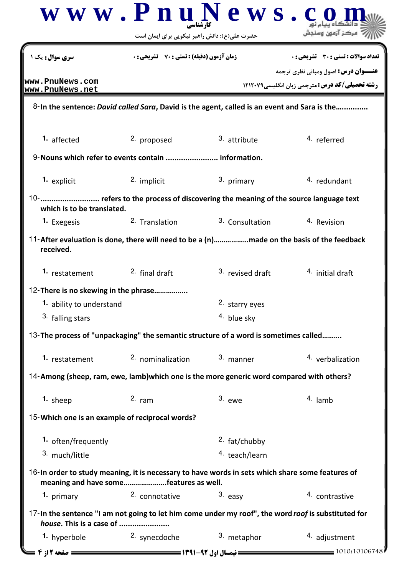| <b>زمان آزمون (دقیقه) : تستی : 70 گشریحی: 0</b><br>2. proposed<br>9-Nouns which refer to events contain  information.<br>2. implicit | 3. attribute<br>3. primary                                                           | <b>تعداد سوالات : تستی : 30 ٪ تشریحی : 0</b><br><b>عنـــوان درس:</b> اصول ومبانی نظری ترجمه<br><b>رشته تحصیلی/کد درس:</b> مترجمی زبان انگلیسی1۲۱۲۰۷۹<br>8-In the sentence: David called Sara, David is the agent, called is an event and Sara is the<br>4. referred                                                                            |
|--------------------------------------------------------------------------------------------------------------------------------------|--------------------------------------------------------------------------------------|------------------------------------------------------------------------------------------------------------------------------------------------------------------------------------------------------------------------------------------------------------------------------------------------------------------------------------------------|
|                                                                                                                                      |                                                                                      |                                                                                                                                                                                                                                                                                                                                                |
|                                                                                                                                      |                                                                                      |                                                                                                                                                                                                                                                                                                                                                |
|                                                                                                                                      |                                                                                      |                                                                                                                                                                                                                                                                                                                                                |
|                                                                                                                                      |                                                                                      |                                                                                                                                                                                                                                                                                                                                                |
|                                                                                                                                      |                                                                                      |                                                                                                                                                                                                                                                                                                                                                |
|                                                                                                                                      |                                                                                      | 4. redundant                                                                                                                                                                                                                                                                                                                                   |
|                                                                                                                                      | 10-  refers to the process of discovering the meaning of the source language text    |                                                                                                                                                                                                                                                                                                                                                |
| <sup>2</sup> Translation                                                                                                             | <sup>3.</sup> Consultation                                                           | 4. Revision                                                                                                                                                                                                                                                                                                                                    |
|                                                                                                                                      |                                                                                      |                                                                                                                                                                                                                                                                                                                                                |
| <sup>2.</sup> final draft                                                                                                            | 3. revised draft                                                                     | 4. initial draft                                                                                                                                                                                                                                                                                                                               |
| 12-There is no skewing in the phrase                                                                                                 |                                                                                      |                                                                                                                                                                                                                                                                                                                                                |
|                                                                                                                                      | 2. starry eyes                                                                       |                                                                                                                                                                                                                                                                                                                                                |
|                                                                                                                                      | 4. blue sky                                                                          |                                                                                                                                                                                                                                                                                                                                                |
|                                                                                                                                      | 13-The process of "unpackaging" the semantic structure of a word is sometimes called |                                                                                                                                                                                                                                                                                                                                                |
| 2. nominalization                                                                                                                    | 3. manner                                                                            | 4. verbalization                                                                                                                                                                                                                                                                                                                               |
|                                                                                                                                      |                                                                                      |                                                                                                                                                                                                                                                                                                                                                |
| $2.$ ram                                                                                                                             | $3.$ ewe                                                                             | 4. lamb                                                                                                                                                                                                                                                                                                                                        |
| 15-Which one is an example of reciprocal words?                                                                                      |                                                                                      |                                                                                                                                                                                                                                                                                                                                                |
|                                                                                                                                      | <sup>2.</sup> fat/chubby                                                             |                                                                                                                                                                                                                                                                                                                                                |
|                                                                                                                                      | 4. teach/learn                                                                       |                                                                                                                                                                                                                                                                                                                                                |
|                                                                                                                                      |                                                                                      |                                                                                                                                                                                                                                                                                                                                                |
| 2. connotative                                                                                                                       | 3. easy                                                                              | 4. contrastive                                                                                                                                                                                                                                                                                                                                 |
| house. This is a case of                                                                                                             |                                                                                      |                                                                                                                                                                                                                                                                                                                                                |
| 2. synecdoche                                                                                                                        | 3. metaphor                                                                          | 4. adjustment                                                                                                                                                                                                                                                                                                                                  |
|                                                                                                                                      |                                                                                      | 14-Among (sheep, ram, ewe, lamb) which one is the more generic word compared with others?<br>16-In order to study meaning, it is necessary to have words in sets which share some features of<br>meaning and have somefeatures as well.<br>17-In the sentence "I am not going to let him come under my roof", the word roof is substituted for |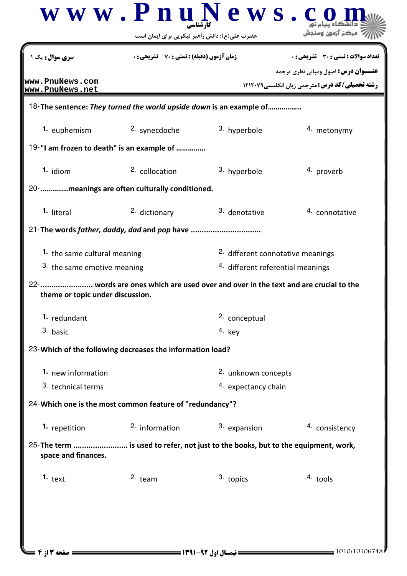| سری سوال : یک                      | <b>زمان آزمون (دقیقه) : تستی : 70 ٪ تشریحی : 0</b>        |                                                                                    | تعداد سوالات : تستي : 30 ٪ تشريحي : 0                                                                |  |
|------------------------------------|-----------------------------------------------------------|------------------------------------------------------------------------------------|------------------------------------------------------------------------------------------------------|--|
| www.PnuNews.com<br>www.PnuNews.net |                                                           |                                                                                    | <b>عنـــوان درس:</b> اصول ومبانی نظری ترجمه<br><b>رشته تحصیلی/کد درس: مترجمی زبان انگلیسی1۲۱۲۰۷۹</b> |  |
|                                    |                                                           | 18-The sentence: They turned the world upside down is an example of                |                                                                                                      |  |
| 1. euphemism                       | 2. synecdoche                                             | 3. hyperbole                                                                       | 4. metonymy                                                                                          |  |
|                                    | 19-"I am frozen to death" is an example of                |                                                                                    |                                                                                                      |  |
| $1.$ idiom                         | <sup>2.</sup> collocation                                 | 3. hyperbole                                                                       | 4. proverb                                                                                           |  |
|                                    | 20-     meanings are often culturally conditioned.        |                                                                                    |                                                                                                      |  |
| 1. literal                         | 2. dictionary                                             | 3. denotative                                                                      | 4. connotative                                                                                       |  |
|                                    | 21-The words father, daddy, dad and pop have              |                                                                                    |                                                                                                      |  |
| 1. the same cultural meaning       |                                                           | <sup>2.</sup> different connotative meanings                                       |                                                                                                      |  |
| 3. the same emotive meaning        |                                                           | <sup>4.</sup> different referential meanings                                       |                                                                                                      |  |
| theme or topic under discussion.   |                                                           | 22- words are ones which are used over and over in the text and are crucial to the |                                                                                                      |  |
| <sup>1.</sup> redundant            |                                                           | 2. conceptual                                                                      |                                                                                                      |  |
| 3. basic                           |                                                           | $4.$ key                                                                           |                                                                                                      |  |
|                                    | 23-Which of the following decreases the information load? |                                                                                    |                                                                                                      |  |
| 1. new information                 |                                                           | 2. unknown concepts                                                                |                                                                                                      |  |
| 3. technical terms                 |                                                           | 4. expectancy chain                                                                |                                                                                                      |  |
|                                    | 24-Which one is the most common feature of "redundancy"?  |                                                                                    |                                                                                                      |  |
| 1. repetition                      | 2. information                                            | 3. expansion                                                                       | 4. consistency                                                                                       |  |
| space and finances.                |                                                           | 25-The term  is used to refer, not just to the books, but to the equipment, work,  |                                                                                                      |  |
|                                    |                                                           |                                                                                    |                                                                                                      |  |